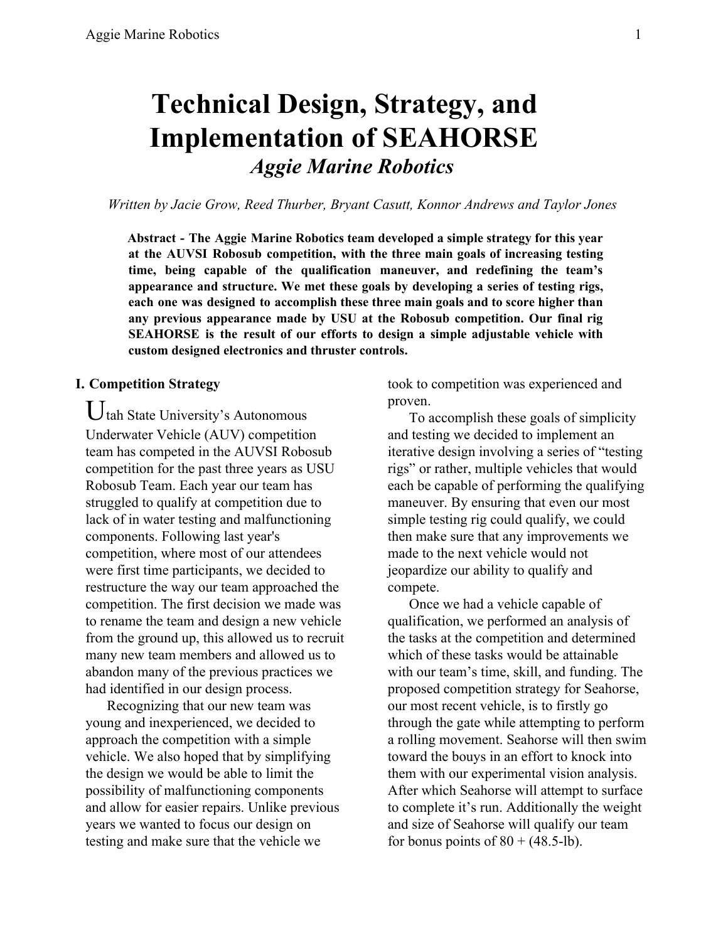# **Technical Design, Strategy, and Implementation of SEAHORSE** *Aggie Marine Robotics*

*Written by Jacie Grow, Reed Thurber, Bryant Casutt, Konnor Andrews and Taylor Jones*

**Abstract - The Aggie Marine Robotics team developed a simple strategy for this year at the AUVSI Robosub competition, with the three main goals of increasing testing time, being capable of the qualification maneuver, and redefining the team's appearance and structure. We met these goals by developing a series of testing rigs, each one was designed to accomplish these three main goals and to score higher than any previous appearance made by USU at the Robosub competition. Our final rig SEAHORSE is the result of our efforts to design a simple adjustable vehicle with custom designed electronics and thruster controls.**

#### **I. Competition Strategy**

 $U$ tah State University's Autonomous Underwater Vehicle (AUV) competition team has competed in the AUVSI Robosub competition for the past three years as USU Robosub Team. Each year our team has struggled to qualify at competition due to lack of in water testing and malfunctioning components. Following last year's competition, where most of our attendees were first time participants, we decided to restructure the way our team approached the competition. The first decision we made was to rename the team and design a new vehicle from the ground up, this allowed us to recruit many new team members and allowed us to abandon many of the previous practices we had identified in our design process.

Recognizing that our new team was young and inexperienced, we decided to approach the competition with a simple vehicle. We also hoped that by simplifying the design we would be able to limit the possibility of malfunctioning components and allow for easier repairs. Unlike previous years we wanted to focus our design on testing and make sure that the vehicle we

took to competition was experienced and proven.

To accomplish these goals of simplicity and testing we decided to implement an iterative design involving a series of "testing rigs" or rather, multiple vehicles that would each be capable of performing the qualifying maneuver. By ensuring that even our most simple testing rig could qualify, we could then make sure that any improvements we made to the next vehicle would not jeopardize our ability to qualify and compete.

Once we had a vehicle capable of qualification, we performed an analysis of the tasks at the competition and determined which of these tasks would be attainable with our team's time, skill, and funding. The proposed competition strategy for Seahorse, our most recent vehicle, is to firstly go through the gate while attempting to perform a rolling movement. Seahorse will then swim toward the bouys in an effort to knock into them with our experimental vision analysis. After which Seahorse will attempt to surface to complete it's run. Additionally the weight and size of Seahorse will qualify our team for bonus points of  $80 + (48.5 - lb)$ .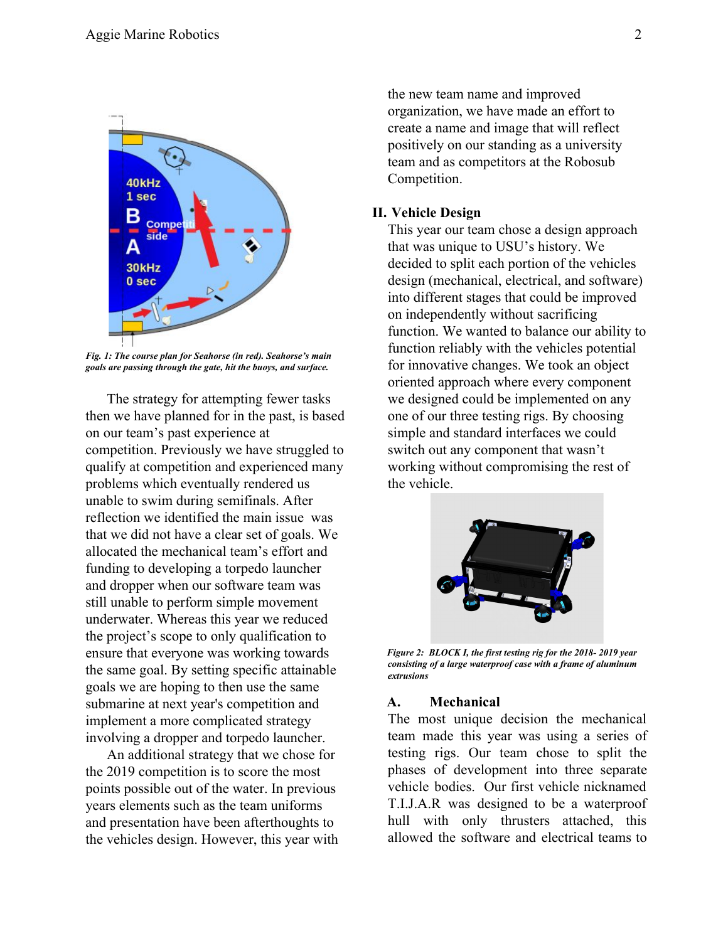

*Fig. 1: The course plan for Seahorse (in red). Seahorse's main goals are passing through the gate, hit the buoys, and surface.*

The strategy for attempting fewer tasks then we have planned for in the past, is based on our team's past experience at competition. Previously we have struggled to qualify at competition and experienced many problems which eventually rendered us unable to swim during semifinals. After reflection we identified the main issue was that we did not have a clear set of goals. We allocated the mechanical team's effort and funding to developing a torpedo launcher and dropper when our software team was still unable to perform simple movement underwater. Whereas this year we reduced the project's scope to only qualification to ensure that everyone was working towards the same goal. By setting specific attainable goals we are hoping to then use the same submarine at next year's competition and implement a more complicated strategy involving a dropper and torpedo launcher.

An additional strategy that we chose for the 2019 competition is to score the most points possible out of the water. In previous years elements such as the team uniforms and presentation have been afterthoughts to the vehicles design. However, this year with the new team name and improved organization, we have made an effort to create a name and image that will reflect positively on our standing as a university team and as competitors at the Robosub Competition.

#### **II. Vehicle Design**

This year our team chose a design approach that was unique to USU's history. We decided to split each portion of the vehicles design (mechanical, electrical, and software) into different stages that could be improved on independently without sacrificing function. We wanted to balance our ability to function reliably with the vehicles potential for innovative changes. We took an object oriented approach where every component we designed could be implemented on any one of our three testing rigs. By choosing simple and standard interfaces we could switch out any component that wasn't working without compromising the rest of the vehicle.



*Figure 2: BLOCK I, the first testing rig for the 2018- 2019 year consisting of a large waterproof case with a frame of aluminum extrusions*

#### **A. Mechanical**

The most unique decision the mechanical team made this year was using a series of testing rigs. Our team chose to split the phases of development into three separate vehicle bodies. Our first vehicle nicknamed T.I.J.A.R was designed to be a waterproof hull with only thrusters attached, this allowed the software and electrical teams to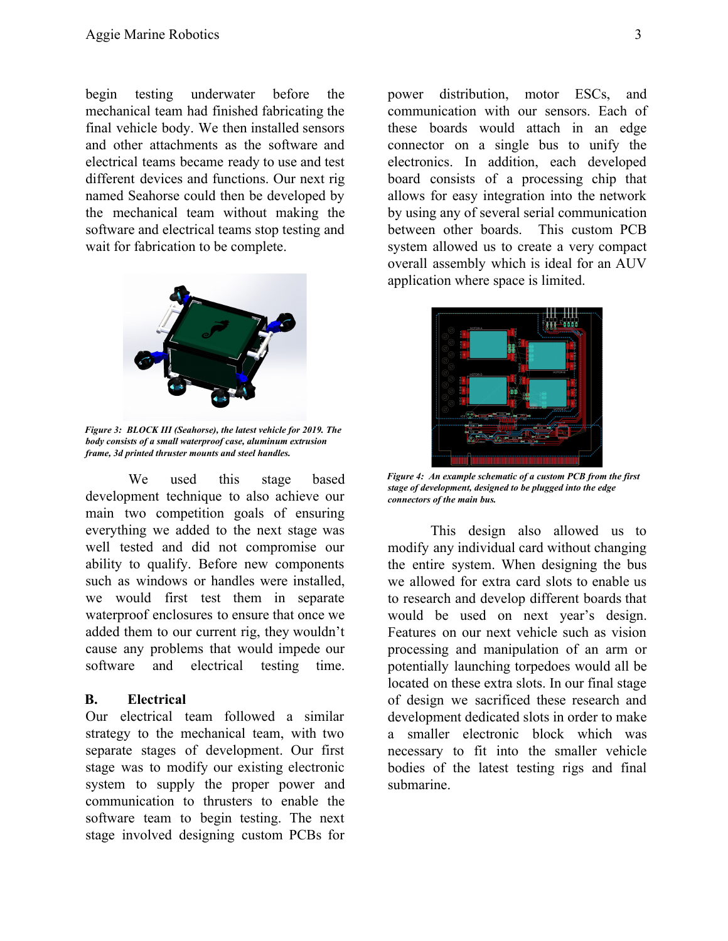begin testing underwater before the mechanical team had finished fabricating the final vehicle body. We then installed sensors and other attachments as the software and electrical teams became ready to use and test different devices and functions. Our next rig named Seahorse could then be developed by the mechanical team without making the software and electrical teams stop testing and wait for fabrication to be complete.



*Figure 3: BLOCK III (Seahorse), the latest vehicle for 2019. The body consists of a small waterproof case, aluminum extrusion frame, 3d printed thruster mounts and steel handles.*

We used this stage based development technique to also achieve our main two competition goals of ensuring everything we added to the next stage was well tested and did not compromise our ability to qualify. Before new components such as windows or handles were installed, we would first test them in separate waterproof enclosures to ensure that once we added them to our current rig, they wouldn't cause any problems that would impede our software and electrical testing time.

#### **B. Electrical**

Our electrical team followed a similar strategy to the mechanical team, with two separate stages of development. Our first stage was to modify our existing electronic system to supply the proper power and communication to thrusters to enable the software team to begin testing. The next stage involved designing custom PCBs for

power distribution, motor ESCs, and communication with our sensors. Each of these boards would attach in an edge connector on a single bus to unify the electronics. In addition, each developed board consists of a processing chip that allows for easy integration into the network by using any of several serial communication between other boards. This custom PCB system allowed us to create a very compact overall assembly which is ideal for an AUV application where space is limited.



*Figure 4: An example schematic of a custom PCB from the first stage of development, designed to be plugged into the edge connectors of the main bus.*

This design also allowed us to modify any individual card without changing the entire system. When designing the bus we allowed for extra card slots to enable us to research and develop different boards that would be used on next year's design. Features on our next vehicle such as vision processing and manipulation of an arm or potentially launching torpedoes would all be located on these extra slots. In our final stage of design we sacrificed these research and development dedicated slots in order to make a smaller electronic block which was necessary to fit into the smaller vehicle bodies of the latest testing rigs and final submarine.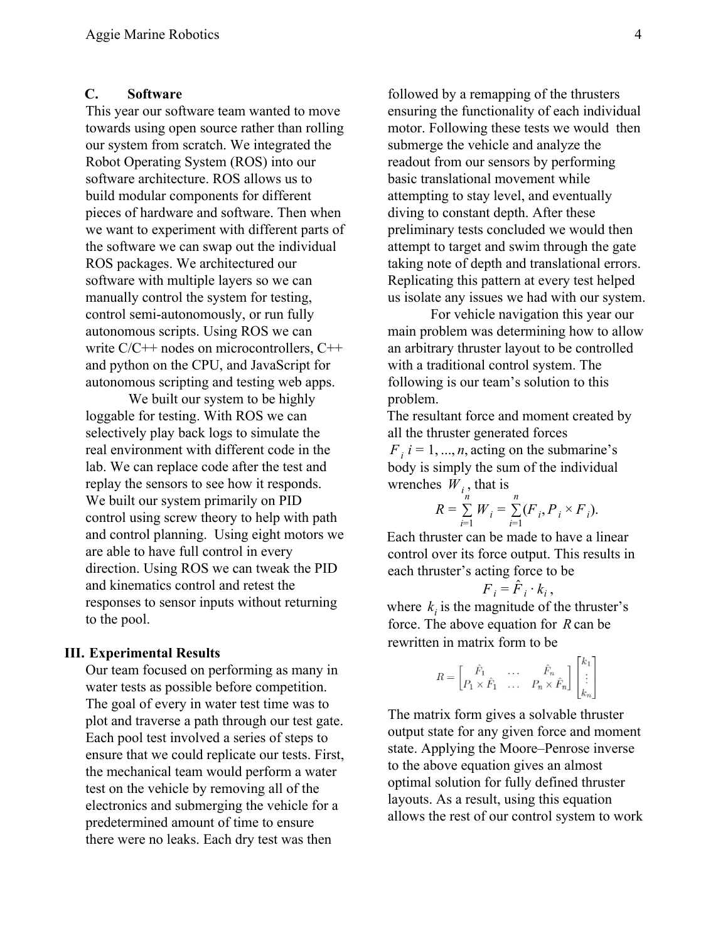#### **C. Software**

This year our software team wanted to move towards using open source rather than rolling our system from scratch. We integrated the Robot Operating System (ROS) into our software architecture. ROS allows us to build modular components for different pieces of hardware and software. Then when we want to experiment with different parts of the software we can swap out the individual ROS packages. We architectured our software with multiple layers so we can manually control the system for testing, control semi-autonomously, or run fully autonomous scripts. Using ROS we can write  $C/C++$  nodes on microcontrollers,  $C++$ and python on the CPU, and JavaScript for autonomous scripting and testing web apps.

We built our system to be highly loggable for testing. With ROS we can selectively play back logs to simulate the real environment with different code in the lab. We can replace code after the test and replay the sensors to see how it responds. We built our system primarily on PID control using screw theory to help with path and control planning. Using eight motors we are able to have full control in every direction. Using ROS we can tweak the PID and kinematics control and retest the responses to sensor inputs without returning to the pool.

#### **III. Experimental Results**

Our team focused on performing as many in water tests as possible before competition. The goal of every in water test time was to plot and traverse a path through our test gate. Each pool test involved a series of steps to ensure that we could replicate our tests. First, the mechanical team would perform a water test on the vehicle by removing all of the electronics and submerging the vehicle for a predetermined amount of time to ensure there were no leaks. Each dry test was then

followed by a remapping of the thrusters ensuring the functionality of each individual motor. Following these tests we would then submerge the vehicle and analyze the readout from our sensors by performing basic translational movement while attempting to stay level, and eventually diving to constant depth. After these preliminary tests concluded we would then attempt to target and swim through the gate taking note of depth and translational errors. Replicating this pattern at every test helped us isolate any issues we had with our system.

For vehicle navigation this year our main problem was determining how to allow an arbitrary thruster layout to be controlled with a traditional control system. The following is our team's solution to this problem.

The resultant force and moment created by all the thruster generated forces  $F_i$  *i* = 1, ..., *n*, acting on the submarine's body is simply the sum of the individual wrenches  $W_i$ , that is

$$
R = \sum_{i=1}^{n} W_i = \sum_{i=1}^{n} (F_i, P_i \times F_i).
$$

Each thruster can be made to have a linear control over its force output. This results in each thruster's acting force to be

$$
F_i = \hat{F}_i \cdot k_i \,,
$$

where  $k_i$  is the magnitude of the thruster's force. The above equation for *R* can be rewritten in matrix form to be

$$
R = \begin{bmatrix} \hat{F}_1 & \cdots & \hat{F}_n \\ P_1 \times \hat{F}_1 & \cdots & P_n \times \hat{F}_n \end{bmatrix} \begin{bmatrix} \kappa_1 \\ \vdots \\ \kappa_n \end{bmatrix}
$$

The matrix form gives a solvable thruster output state for any given force and moment state. Applying the Moore–Penrose inverse to the above equation gives an almost optimal solution for fully defined thruster layouts. As a result, using this equation allows the rest of our control system to work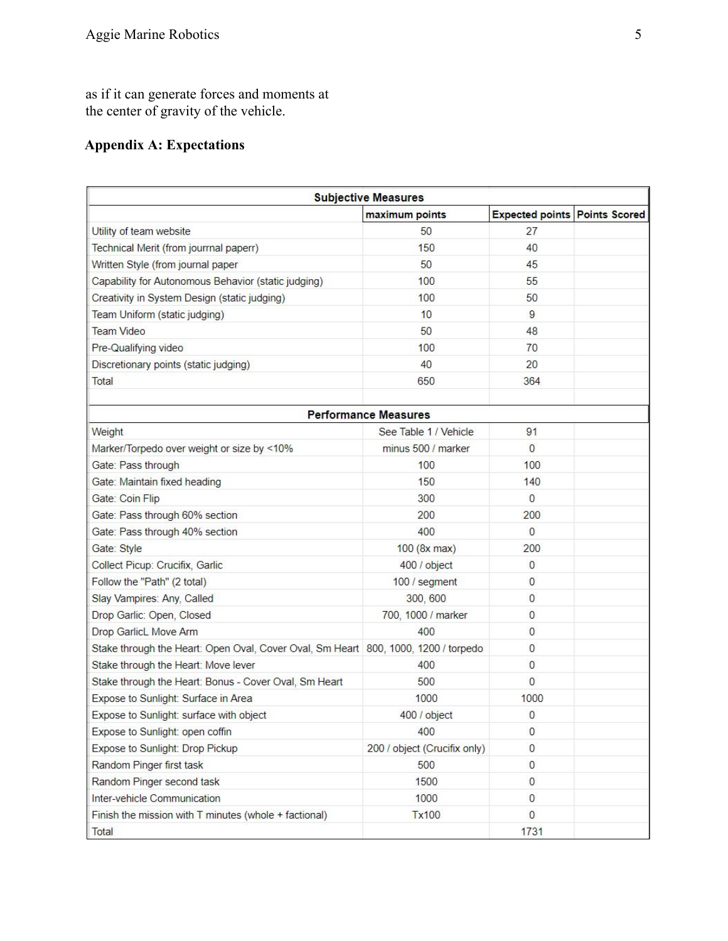as if it can generate forces and moments at the center of gravity of the vehicle.

### **Appendix A: Expectations**

| <b>Subjective Measures</b>                                                         |                              |                                      |  |  |  |
|------------------------------------------------------------------------------------|------------------------------|--------------------------------------|--|--|--|
|                                                                                    | maximum points               | <b>Expected points Points Scored</b> |  |  |  |
| Utility of team website                                                            | 50                           | 27                                   |  |  |  |
| Technical Merit (from jourrnal paperr)                                             | 150                          | 40                                   |  |  |  |
| Written Style (from journal paper                                                  | 50                           | 45                                   |  |  |  |
| Capability for Autonomous Behavior (static judging)                                | 100                          | 55                                   |  |  |  |
| Creativity in System Design (static judging)                                       | 100                          | 50                                   |  |  |  |
| Team Uniform (static judging)                                                      | 10                           | 9                                    |  |  |  |
| <b>Team Video</b>                                                                  | 50                           | 48                                   |  |  |  |
| Pre-Qualifying video                                                               | 100                          | 70                                   |  |  |  |
| Discretionary points (static judging)                                              | 40                           | 20                                   |  |  |  |
| Total                                                                              | 650                          | 364                                  |  |  |  |
|                                                                                    |                              |                                      |  |  |  |
|                                                                                    | <b>Performance Measures</b>  |                                      |  |  |  |
| Weight                                                                             | See Table 1 / Vehicle        | 91                                   |  |  |  |
| Marker/Torpedo over weight or size by <10%                                         | minus 500 / marker           | $\mathbf{0}$                         |  |  |  |
| Gate: Pass through                                                                 | 100                          | 100                                  |  |  |  |
| Gate: Maintain fixed heading                                                       | 150                          | 140                                  |  |  |  |
| Gate: Coin Flip                                                                    | 300                          | $\mathbf{0}$                         |  |  |  |
| Gate: Pass through 60% section                                                     | 200                          | 200                                  |  |  |  |
| Gate: Pass through 40% section                                                     | 400                          | $\mathbf{0}$                         |  |  |  |
| Gate: Style                                                                        | $100$ (8x max)               | 200                                  |  |  |  |
| Collect Picup: Crucifix, Garlic                                                    | 400 / object                 | $\mathbf{0}$                         |  |  |  |
| Follow the "Path" (2 total)                                                        | 100 / segment                | 0                                    |  |  |  |
| Slay Vampires: Any, Called                                                         | 300, 600                     | 0                                    |  |  |  |
| Drop Garlic: Open, Closed                                                          | 700, 1000 / marker           | 0                                    |  |  |  |
| Drop GarlicL Move Arm                                                              | 400                          | 0                                    |  |  |  |
| Stake through the Heart: Open Oval, Cover Oval, Sm Heart 800, 1000, 1200 / torpedo |                              | $\mathbf{0}$                         |  |  |  |
| Stake through the Heart: Move lever                                                | 400                          | 0                                    |  |  |  |
| Stake through the Heart: Bonus - Cover Oval, Sm Heart                              | 500                          | $\mathbf{0}$                         |  |  |  |
| Expose to Sunlight: Surface in Area                                                | 1000                         | 1000                                 |  |  |  |
| Expose to Sunlight: surface with object                                            | 400 / object                 | 0                                    |  |  |  |
| Expose to Sunlight: open coffin                                                    | 400                          | 0                                    |  |  |  |
| Expose to Sunlight: Drop Pickup                                                    | 200 / object (Crucifix only) | $\mathsf{O}\xspace$                  |  |  |  |
| Random Pinger first task                                                           | 500                          | 0                                    |  |  |  |
| Random Pinger second task                                                          | 1500                         | $\mathbf{0}$                         |  |  |  |
| Inter-vehicle Communication                                                        | 1000                         | $\mathbf{0}$                         |  |  |  |
| Finish the mission with $T$ minutes (whole + factional)                            | <b>Tx100</b>                 | $\mathbf{0}$                         |  |  |  |
| Total                                                                              |                              | 1731                                 |  |  |  |